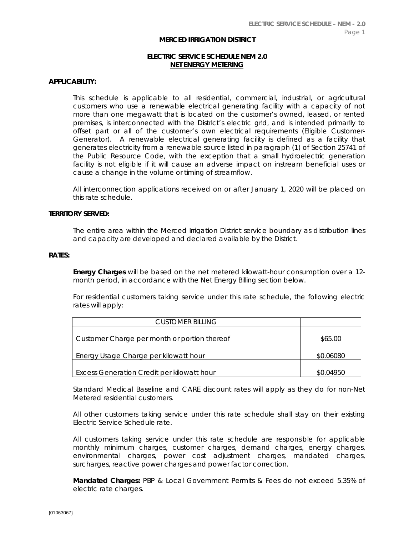#### **MERCED IRRIGATION DISTRICT**

# **ELECTRIC SERVICE SCHEDULE NEM 2.0 NET ENERGY METERING**

## **APPLICABILITY:**

This schedule is applicable to all residential, commercial, industrial, or agricultural customers who use a renewable electrical generating facility with a capacity of not more than one megawatt that is located on the customer's owned, leased, or rented premises, is interconnected with the District's electric grid, and is intended primarily to offset part or all of the customer's own electrical requirements (Eligible Customer-Generator). A renewable electrical generating facility is defined as a facility that generates electricity from a renewable source listed in paragraph (1) of Section 25741 of the Public Resource Code, with the exception that a small hydroelectric generation facility is not eligible if it will cause an adverse impact on instream beneficial uses or cause a change in the volume or timing of streamflow.

All interconnection applications received on or after January 1, 2020 will be placed on this rate schedule.

### **TERRITORY SERVED:**

The entire area within the Merced Irrigation District service boundary as distribution lines and capacity are developed and declared available by the District.

#### **RATES:**

**Energy Charges** will be based on the net metered kilowatt-hour consumption over a 12 month period, in accordance with the Net Energy Billing section below.

For residential customers taking service under this rate schedule, the following electric rates will apply:

| CUSTOMER BILLING                             |           |
|----------------------------------------------|-----------|
|                                              |           |
| Customer Charge per month or portion thereof | \$65.00   |
|                                              |           |
| Energy Usage Charge per kilowatt hour        | \$0.06080 |
|                                              |           |
| Excess Generation Credit per kilowatt hour   | SO 04950  |

Standard Medical Baseline and CARE discount rates will apply as they do for non-Net Metered residential customers.

All other customers taking service under this rate schedule shall stay on their existing Electric Service Schedule rate.

All customers taking service under this rate schedule are responsible for applicable monthly minimum charges, customer charges, demand charges, energy charges, environmental charges, power cost adjustment charges, mandated charges, surcharges, reactive power charges and power factor correction.

**Mandated Charges:** PBP & Local Government Permits & Fees do not exceed 5.35% of electric rate charges.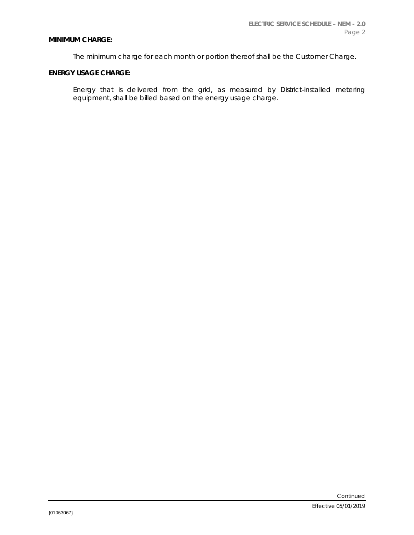### **MINIMUM CHARGE:**

The minimum charge for each month or portion thereof shall be the Customer Charge.

# **ENERGY USAGE CHARGE:**

Energy that is delivered from the grid, as measured by District-installed metering equipment, shall be billed based on the energy usage charge.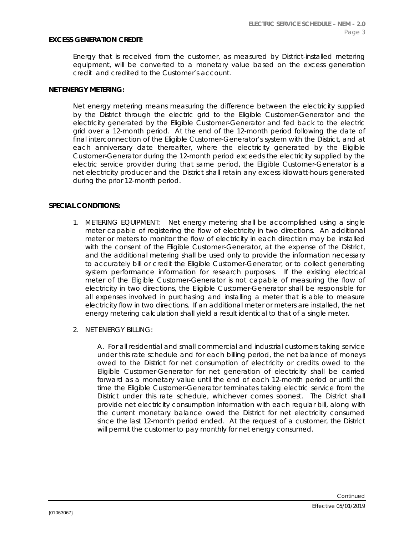### **EXCESS GENERATION CREDIT:**

Energy that is received from the customer, as measured by District-installed metering equipment, will be converted to a monetary value based on the excess generation credit and credited to the Customer's account.

### **NET ENERGY METERING:**

Net energy metering means measuring the difference between the electricity supplied by the District through the electric grid to the Eligible Customer-Generator and the electricity generated by the Eligible Customer-Generator and fed back to the electric grid over a 12-month period. At the end of the 12-month period following the date of final interconnection of the Eligible Customer-Generator's system with the District, and at each anniversary date thereafter, where the electricity generated by the Eligible Customer-Generator during the 12-month period exceeds the electricity supplied by the electric service provider during that same period, the Eligible Customer-Generator is a net electricity producer and the District shall retain any excess kilowatt-hours generated during the prior 12-month period.

### **SPECIAL CONDITIONS:**

- 1. METERING EQUIPMENT: Net energy metering shall be accomplished using a single meter capable of registering the flow of electricity in two directions. An additional meter or meters to monitor the flow of electricity in each direction may be installed with the consent of the Eligible Customer-Generator, at the expense of the District, and the additional metering shall be used only to provide the information necessary to accurately bill or credit the Eligible Customer-Generator, or to collect generating system performance information for research purposes. If the existing electrical meter of the Eligible Customer-Generator is not capable of measuring the flow of electricity in two directions, the Eligible Customer-Generator shall be responsible for all expenses involved in purchasing and installing a meter that is able to measure electricity flow in two directions. If an additional meter or meters are installed, the net energy metering calculation shall yield a result identical to that of a single meter.
- 2. NET ENERGY BILLING:

A. For all residential and small commercial and industrial customers taking service under this rate schedule and for each billing period, the net balance of moneys owed to the District for net consumption of electricity or credits owed to the Eligible Customer-Generator for net generation of electricity shall be carried forward as a monetary value until the end of each 12-month period or until the time the Eligible Customer-Generator terminates taking electric service from the District under this rate schedule, whichever comes soonest. The District shall provide net electricity consumption information with each regular bill, along with the current monetary balance owed the District for net electricity consumed since the last 12-month period ended. At the request of a customer, the District will permit the customer to pay monthly for net energy consumed.